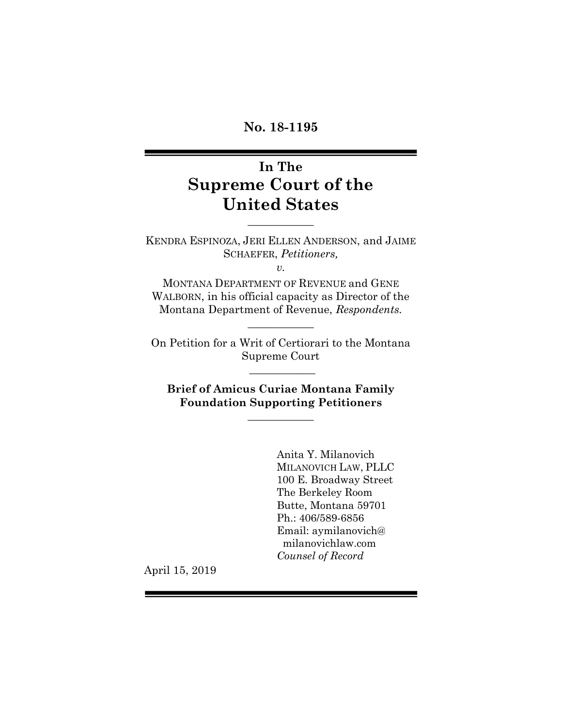**No. 18-1195**

# **In The Supreme Court of the United States**

KENDRA ESPINOZA, JERI ELLEN ANDERSON, and JAIME SCHAEFER, *Petitioners,*

 $\frac{1}{2}$ 

*v.*

MONTANA DEPARTMENT OF REVENUE and GENE WALBORN, in his official capacity as Director of the Montana Department of Revenue, *Respondents.*

 $\overline{\phantom{a}}$  , where  $\overline{\phantom{a}}$ 

On Petition for a Writ of Certiorari to the Montana Supreme Court

 $\overline{\phantom{a}}$ 

**Brief of Amicus Curiae Montana Family Foundation Supporting Petitioners**

 $\overline{\phantom{a}}$  , where  $\overline{\phantom{a}}$ 

Anita Y. Milanovich MILANOVICH LAW, PLLC 100 E. Broadway Street The Berkeley Room Butte, Montana 59701 Ph.: 406/589-6856 Email: aymilanovich@ milanovichlaw.com *Counsel of Record*

April 15, 2019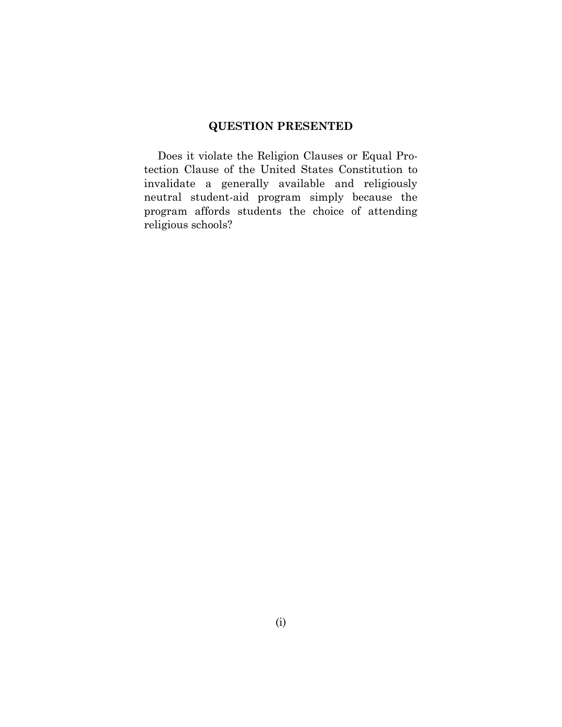### <span id="page-1-1"></span>**QUESTION PRESENTED**

<span id="page-1-0"></span>Does it violate the Religion Clauses or Equal Protection Clause of the United States Constitution to invalidate a generally available and religiously neutral student-aid program simply because the program affords students the choice of attending religious schools?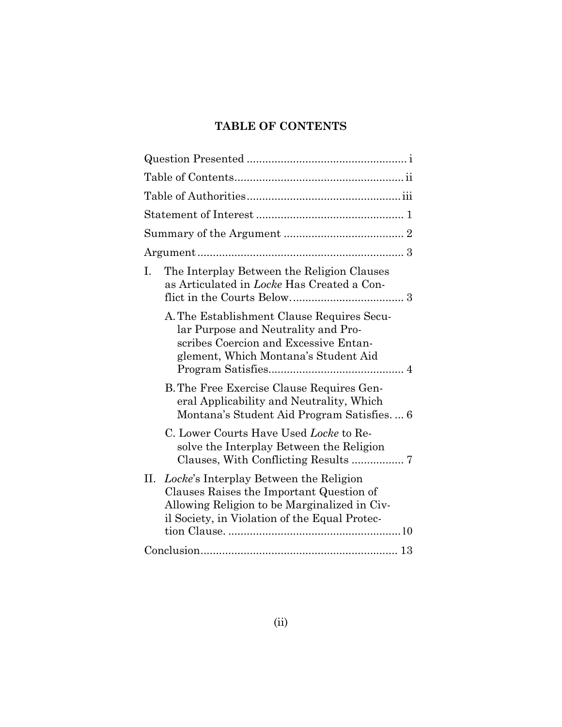## **TABLE OF CONTENTS**

| The Interplay Between the Religion Clauses<br>Ι.<br>as Articulated in <i>Locke</i> Has Created a Con-                                                                                   |
|-----------------------------------------------------------------------------------------------------------------------------------------------------------------------------------------|
| A. The Establishment Clause Requires Secu-<br>lar Purpose and Neutrality and Pro-<br>scribes Coercion and Excessive Entan-<br>glement, Which Montana's Student Aid                      |
| B. The Free Exercise Clause Requires Gen-<br>eral Applicability and Neutrality, Which<br>Montana's Student Aid Program Satisfies 6                                                      |
| C. Lower Courts Have Used Locke to Re-<br>solve the Interplay Between the Religion                                                                                                      |
| II. Locke's Interplay Between the Religion<br>Clauses Raises the Important Question of<br>Allowing Religion to be Marginalized in Civ-<br>il Society, in Violation of the Equal Protec- |
|                                                                                                                                                                                         |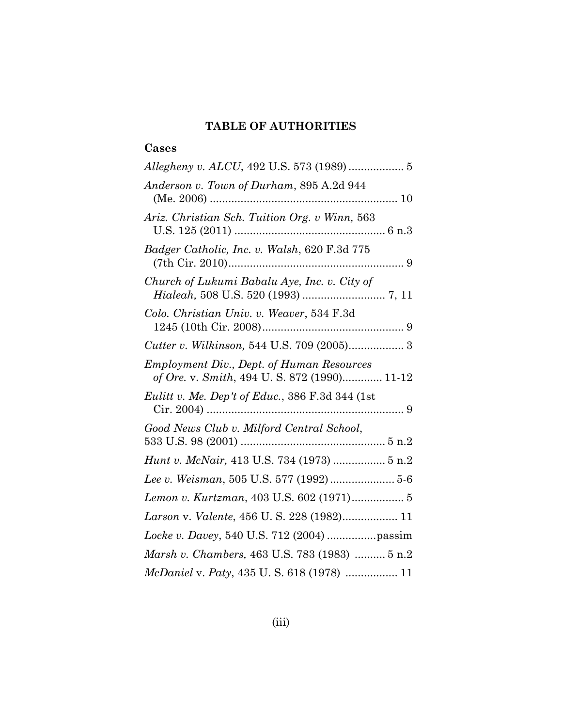## **TABLE OF AUTHORITIES**

## <span id="page-3-0"></span>**Cases**

| Allegheny v. ALCU, 492 U.S. 573 (1989)  5                                                        |  |
|--------------------------------------------------------------------------------------------------|--|
| Anderson v. Town of Durham, 895 A.2d 944                                                         |  |
| Ariz. Christian Sch. Tuition Org. v Winn, 563                                                    |  |
| Badger Catholic, Inc. v. Walsh, 620 F.3d 775                                                     |  |
| Church of Lukumi Babalu Aye, Inc. v. City of                                                     |  |
| Colo. Christian Univ. v. Weaver, 534 F.3d                                                        |  |
|                                                                                                  |  |
| <b>Employment Div., Dept. of Human Resources</b><br>of Ore. v. Smith, 494 U. S. 872 (1990) 11-12 |  |
| Eulitt v. Me. Dep't of Educ., 386 F.3d 344 (1st                                                  |  |
| Good News Club v. Milford Central School,                                                        |  |
| Hunt v. McNair, 413 U.S. 734 (1973)  5 n.2                                                       |  |
| Lee v. Weisman, 505 U.S. 577 (1992) 5-6                                                          |  |
| Lemon v. Kurtzman, 403 U.S. 602 (1971) 5                                                         |  |
| Larson v. Valente, 456 U. S. 228 (1982) 11                                                       |  |
|                                                                                                  |  |
| Marsh v. Chambers, 463 U.S. 783 (1983)  5 n.2                                                    |  |
| McDaniel v. Paty, 435 U. S. 618 (1978)  11                                                       |  |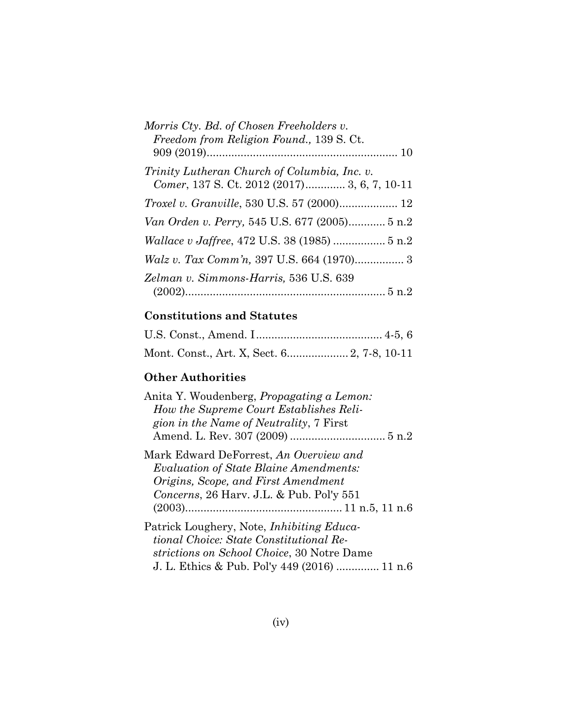| Morris Cty. Bd. of Chosen Freeholders v.      |
|-----------------------------------------------|
| Freedom from Religion Found., 139 S. Ct.      |
|                                               |
| Trinity Lutheran Church of Columbia, Inc. v.  |
| Comer, 137 S. Ct. 2012 (2017) 3, 6, 7, 10-11  |
| Troxel v. Granville, 530 U.S. 57 (2000) 12    |
| Van Orden v. Perry, 545 U.S. 677 (2005) 5 n.2 |
|                                               |
|                                               |
| Zelman v. Simmons-Harris, 536 U.S. 639        |
|                                               |

## **Constitutions and Statutes**

## **Other Authorities**

| Anita Y. Woudenberg, <i>Propagating a Lemon</i> :<br>How the Supreme Court Establishes Reli-<br>gion in the Name of Neutrality, 7 First                                                    |
|--------------------------------------------------------------------------------------------------------------------------------------------------------------------------------------------|
| Mark Edward DeForrest, <i>An Overview and</i><br>Evaluation of State Blaine Amendments:<br>Origins, Scope, and First Amendment<br>Concerns, 26 Harv. J.L. & Pub. Pol'y 551                 |
| Patrick Loughery, Note, <i>Inhibiting Educa</i> -<br>tional Choice: State Constitutional Re-<br>strictions on School Choice, 30 Notre Dame<br>J. L. Ethics & Pub. Pol'y 449 (2016)  11 n.6 |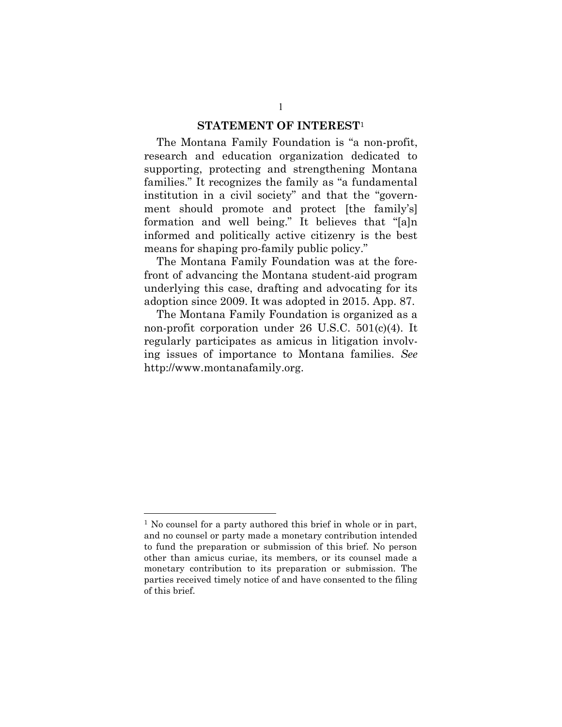#### **STATEMENT OF INTEREST**<sup>1</sup>

<span id="page-5-0"></span>The Montana Family Foundation is "a non-profit, research and education organization dedicated to supporting, protecting and strengthening Montana families." It recognizes the family as "a fundamental institution in a civil society" and that the "government should promote and protect [the family's] formation and well being." It believes that "[a]n informed and politically active citizenry is the best means for shaping pro-family public policy."

The Montana Family Foundation was at the forefront of advancing the Montana student-aid program underlying this case, drafting and advocating for its adoption since 2009. It was adopted in 2015. App. 87.

The Montana Family Foundation is organized as a non-profit corporation under 26 U.S.C. 501(c)(4). It regularly participates as amicus in litigation involving issues of importance to Montana families. *See* http://www.montanafamily.org.

<sup>&</sup>lt;sup>1</sup> No counsel for a party authored this brief in whole or in part, and no counsel or party made a monetary contribution intended to fund the preparation or submission of this brief. No person other than amicus curiae, its members, or its counsel made a monetary contribution to its preparation or submission. The parties received timely notice of and have consented to the filing of this brief.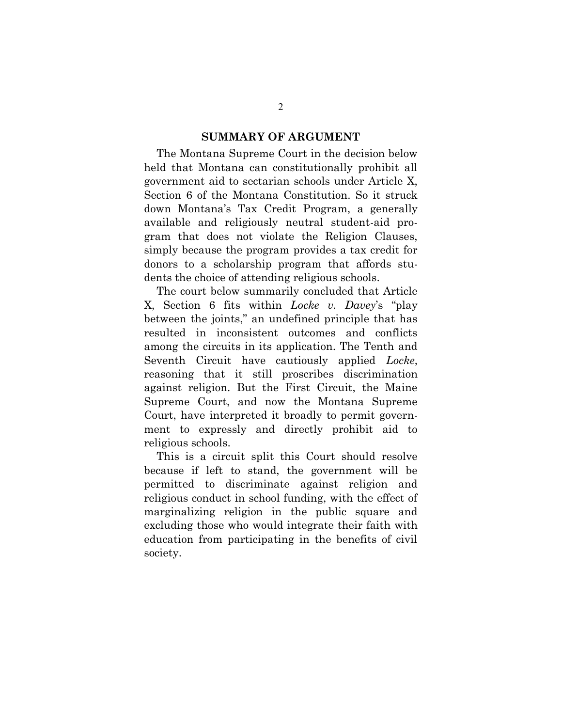#### **SUMMARY OF ARGUMENT**

The Montana Supreme Court in the decision below held that Montana can constitutionally prohibit all government aid to sectarian schools under Article X, Section 6 of the Montana Constitution. So it struck down Montana's Tax Credit Program, a generally available and religiously neutral student-aid program that does not violate the Religion Clauses, simply because the program provides a tax credit for donors to a scholarship program that affords students the choice of attending religious schools.

The court below summarily concluded that Article X, Section 6 fits within *Locke v. Davey*'s "play between the joints," an undefined principle that has resulted in inconsistent outcomes and conflicts among the circuits in its application. The Tenth and Seventh Circuit have cautiously applied *Locke*, reasoning that it still proscribes discrimination against religion. But the First Circuit, the Maine Supreme Court, and now the Montana Supreme Court, have interpreted it broadly to permit government to expressly and directly prohibit aid to religious schools.

This is a circuit split this Court should resolve because if left to stand, the government will be permitted to discriminate against religion and religious conduct in school funding, with the effect of marginalizing religion in the public square and excluding those who would integrate their faith with education from participating in the benefits of civil society.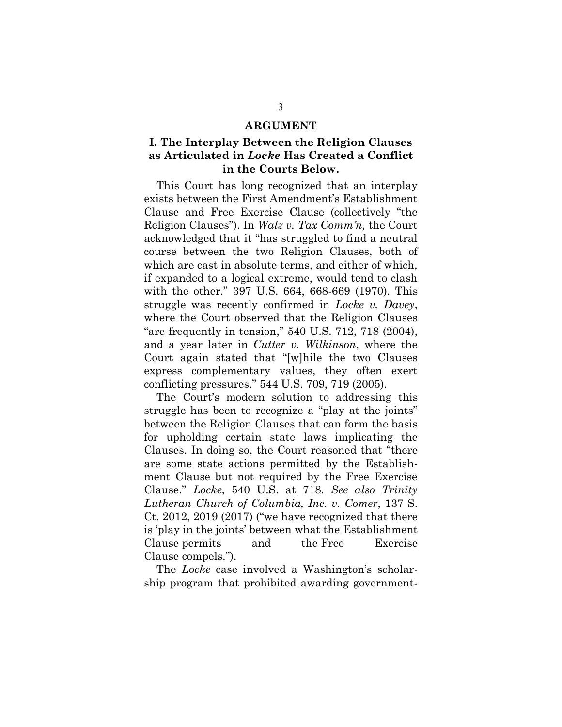#### **ARGUMENT**

### <span id="page-7-0"></span>**I. The Interplay Between the Religion Clauses as Articulated in** *Locke* **Has Created a Conflict in the Courts Below.**

This Court has long recognized that an interplay exists between the First Amendment's Establishment Clause and Free Exercise Clause (collectively "the Religion Clauses"). In *Walz v. Tax Comm'n,* the Court acknowledged that it "has struggled to find a neutral course between the two Religion Clauses, both of which are cast in absolute terms, and either of which, if expanded to a logical extreme, would tend to clash with the other." 397 U.S. 664, 668-669 (1970). This struggle was recently confirmed in *Locke v. Davey*, where the Court observed that the Religion Clauses "are frequently in tension," 540 U.S. 712, 718 (2004), and a year later in *Cutter v. Wilkinson*, where the Court again stated that "[w]hile the two Clauses express complementary values, they often exert conflicting pressures." 544 U.S. 709, 719 (2005).

The Court's modern solution to addressing this struggle has been to recognize a "play at the joints" between the Religion Clauses that can form the basis for upholding certain state laws implicating the Clauses. In doing so, the Court reasoned that "there are some state actions permitted by the Establishment Clause but not required by the Free Exercise Clause." *Locke*, 540 U.S. at 718*. See also Trinity Lutheran Church of Columbia, Inc. v. Comer*, 137 S. Ct. 2012, 2019 (2017) ("we have recognized that there is 'play in the joints' between what the Establishment Clause permits and the Free Exercise Clause compels.").

The *Locke* case involved a Washington's scholarship program that prohibited awarding government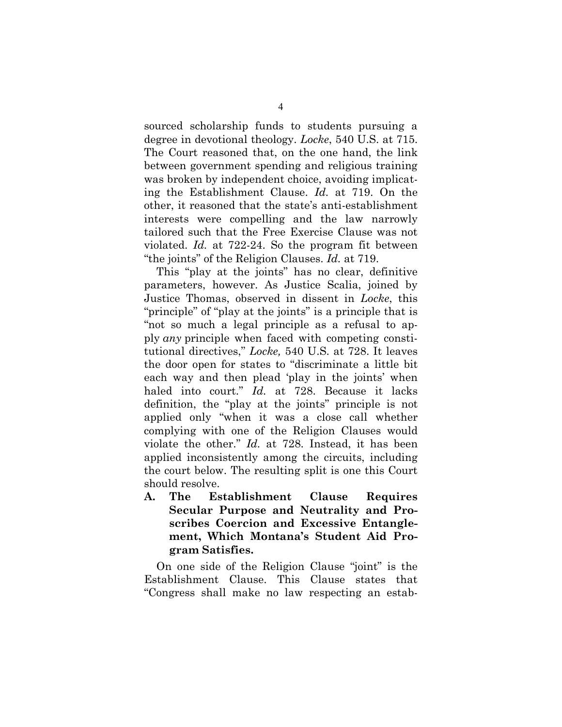sourced scholarship funds to students pursuing a degree in devotional theology. *Locke*, 540 U.S. at 715. The Court reasoned that, on the one hand, the link between government spending and religious training was broken by independent choice, avoiding implicating the Establishment Clause. *Id.* at 719. On the other, it reasoned that the state's anti-establishment interests were compelling and the law narrowly tailored such that the Free Exercise Clause was not violated. *Id.* at 722-24. So the program fit between "the joints" of the Religion Clauses. *Id.* at 719.

This "play at the joints" has no clear, definitive parameters, however. As Justice Scalia, joined by Justice Thomas, observed in dissent in *Locke*, this "principle" of "play at the joints" is a principle that is "not so much a legal principle as a refusal to apply *any* principle when faced with competing constitutional directives," *Locke,* 540 U.S. at 728. It leaves the door open for states to "discriminate a little bit each way and then plead 'play in the joints' when haled into court." *Id.* at 728. Because it lacks definition, the "play at the joints" principle is not applied only "when it was a close call whether complying with one of the Religion Clauses would violate the other." *Id.* at 728. Instead, it has been applied inconsistently among the circuits, including the court below. The resulting split is one this Court should resolve.

<span id="page-8-0"></span>**A. The Establishment Clause Requires Secular Purpose and Neutrality and Proscribes Coercion and Excessive Entanglement, Which Montana's Student Aid Program Satisfies.**

On one side of the Religion Clause "joint" is the Establishment Clause. This Clause states that "Congress shall make no law respecting an estab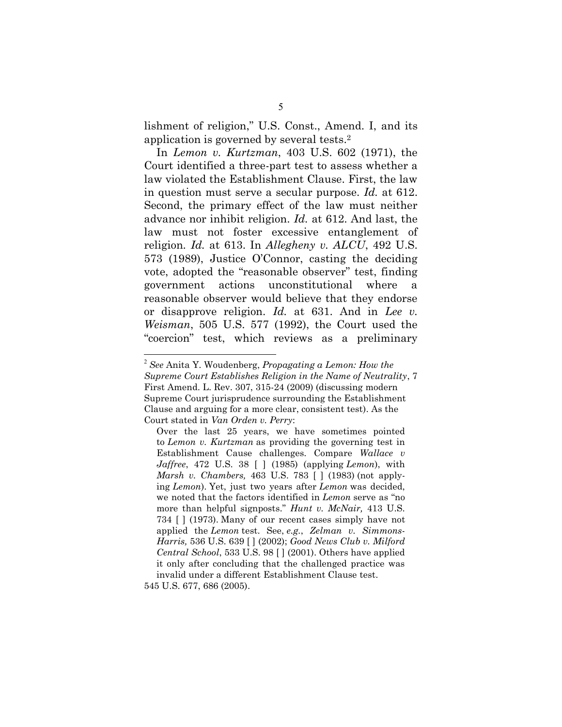lishment of religion," U.S. Const., Amend. I, and its application is governed by several tests. 2

In *Lemon v. Kurtzman*, 403 U.S. 602 (1971), the Court identified a three-part test to assess whether a law violated the Establishment Clause. First, the law in question must serve a secular purpose. *Id.* at 612. Second, the primary effect of the law must neither advance nor inhibit religion. *Id.* at 612. And last, the law must not foster excessive entanglement of religion. *Id.* at 613. In *Allegheny v. ALCU*, 492 U.S. 573 (1989), Justice O'Connor, casting the deciding vote, adopted the "reasonable observer" test, finding government actions unconstitutional where reasonable observer would believe that they endorse or disapprove religion. *Id.* at 631. And in *Lee v. Weisman*, 505 U.S. 577 (1992), the Court used the "coercion" test, which reviews as a preliminary

545 U.S. 677, 686 (2005).

<sup>2</sup> *See* Anita Y. Woudenberg, *Propagating a Lemon: How the Supreme Court Establishes Religion in the Name of Neutrality*, 7 First Amend. L. Rev. 307, 315-24 (2009) (discussing modern Supreme Court jurisprudence surrounding the Establishment Clause and arguing for a more clear, consistent test). As the Court stated in *Van Orden v. Perry*:

Over the last 25 years, we have sometimes pointed to *Lemon v. Kurtzman* as providing the governing test in Establishment Cause challenges. Compare *Wallace v Jaffree*, 472 U.S. 38 [ ] (1985) (applying *Lemon*), with *Marsh v. Chambers,* 463 U.S. 783 [ ] (1983) (not applying *Lemon*). Yet, just two years after *Lemon* was decided, we noted that the factors identified in *Lemon* serve as "no more than helpful signposts." *Hunt v. McNair,* 413 U.S. 734 [ ] (1973). Many of our recent cases simply have not applied the *Lemon* test. See, *e.g.*, *Zelman v. Simmons-Harris,* 536 U.S. 639 [ ] (2002); *Good News Club v. Milford Central School*, 533 U.S. 98 [ ] (2001). Others have applied it only after concluding that the challenged practice was invalid under a different Establishment Clause test.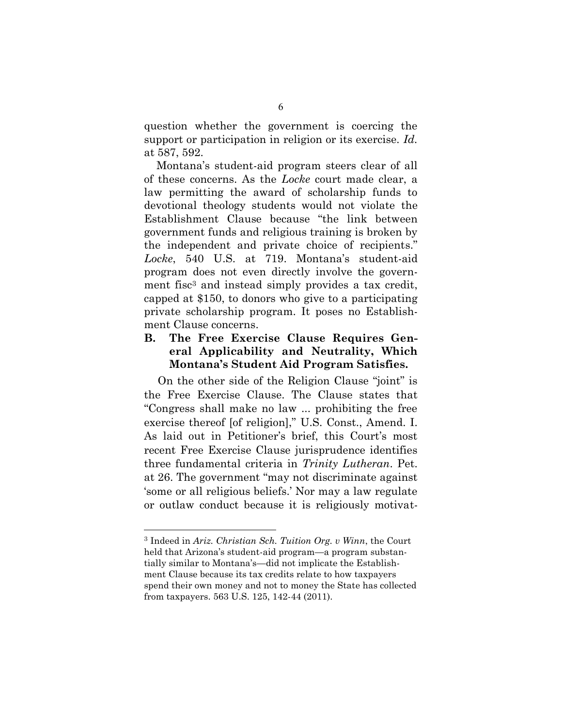question whether the government is coercing the support or participation in religion or its exercise. *Id.*  at 587, 592.

Montana's student-aid program steers clear of all of these concerns. As the *Locke* court made clear, a law permitting the award of scholarship funds to devotional theology students would not violate the Establishment Clause because "the link between government funds and religious training is broken by the independent and private choice of recipients." *Locke*, 540 U.S. at 719. Montana's student-aid program does not even directly involve the government fisc<sup>3</sup> and instead simply provides a tax credit, capped at \$150, to donors who give to a participating private scholarship program. It poses no Establishment Clause concerns.

### <span id="page-10-0"></span>**B. The Free Exercise Clause Requires General Applicability and Neutrality, Which Montana's Student Aid Program Satisfies.**

On the other side of the Religion Clause "joint" is the Free Exercise Clause. The Clause states that "Congress shall make no law ... prohibiting the free exercise thereof [of religion]," U.S. Const., Amend. I. As laid out in Petitioner's brief, this Court's most recent Free Exercise Clause jurisprudence identifies three fundamental criteria in *Trinity Lutheran*. Pet. at 26. The government "may not discriminate against 'some or all religious beliefs.' Nor may a law regulate or outlaw conduct because it is religiously motivat-

<sup>3</sup> Indeed in *Ariz. Christian Sch. Tuition Org. v Winn*, the Court held that Arizona's student-aid program—a program substantially similar to Montana's—did not implicate the Establishment Clause because its tax credits relate to how taxpayers spend their own money and not to money the State has collected from taxpayers. 563 U.S. 125, 142-44 (2011).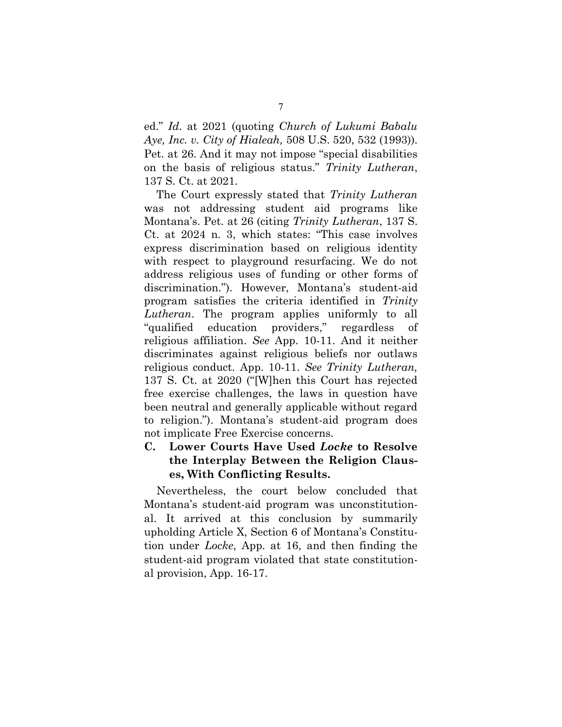ed." *Id.* at 2021 (quoting *Church of Lukumi Babalu Aye, Inc. v. City of Hialeah,* 508 U.S. 520, 532 (1993)). Pet. at 26. And it may not impose "special disabilities on the basis of religious status." *Trinity Lutheran*, 137 S. Ct. at 2021*.* 

The Court expressly stated that *Trinity Lutheran*  was not addressing student aid programs like Montana's. Pet. at 26 (citing *Trinity Lutheran*, 137 S. Ct. at 2024 n. 3, which states: "This case involves express discrimination based on religious identity with respect to playground resurfacing. We do not address religious uses of funding or other forms of discrimination."). However, Montana's student-aid program satisfies the criteria identified in *Trinity Lutheran*. The program applies uniformly to all "qualified education providers," regardless of religious affiliation. *See* App. 10-11. And it neither discriminates against religious beliefs nor outlaws religious conduct. App. 10-11. *See Trinity Lutheran,*  137 S. Ct. at 2020 ("[W]hen this Court has rejected free exercise challenges, the laws in question have been neutral and generally applicable without regard to religion."). Montana's student-aid program does not implicate Free Exercise concerns.

<span id="page-11-0"></span>**C. Lower Courts Have Used** *Locke* **to Resolve the Interplay Between the Religion Clauses, With Conflicting Results.**

Nevertheless, the court below concluded that Montana's student-aid program was unconstitutional. It arrived at this conclusion by summarily upholding Article X, Section 6 of Montana's Constitution under *Locke*, App. at 16, and then finding the student-aid program violated that state constitutional provision, App. 16-17.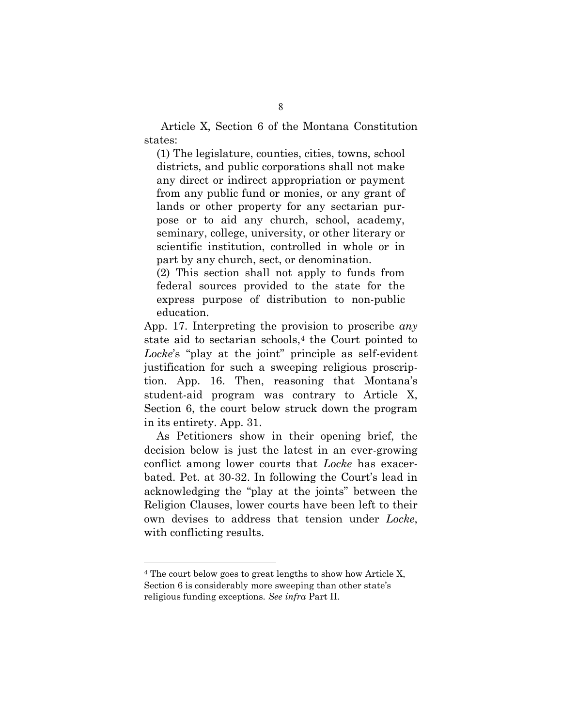Article X, Section 6 of the Montana Constitution states:

(1) The legislature, counties, cities, towns, school districts, and public corporations shall not make any direct or indirect appropriation or payment from any public fund or monies, or any grant of lands or other property for any sectarian purpose or to aid any church, school, academy, seminary, college, university, or other literary or scientific institution, controlled in whole or in part by any church, sect, or denomination.

(2) This section shall not apply to funds from federal sources provided to the state for the express purpose of distribution to non-public education.

App. 17. Interpreting the provision to proscribe *any* state aid to sectarian schools, <sup>4</sup> the Court pointed to *Locke*'s "play at the joint" principle as self-evident justification for such a sweeping religious proscription. App. 16. Then, reasoning that Montana's student-aid program was contrary to Article X, Section 6, the court below struck down the program in its entirety. App. 31.

As Petitioners show in their opening brief, the decision below is just the latest in an ever-growing conflict among lower courts that *Locke* has exacerbated. Pet. at 30-32. In following the Court's lead in acknowledging the "play at the joints" between the Religion Clauses, lower courts have been left to their own devises to address that tension under *Locke*, with conflicting results.

<sup>4</sup> The court below goes to great lengths to show how Article X, Section 6 is considerably more sweeping than other state's religious funding exceptions. *See infra* Part II.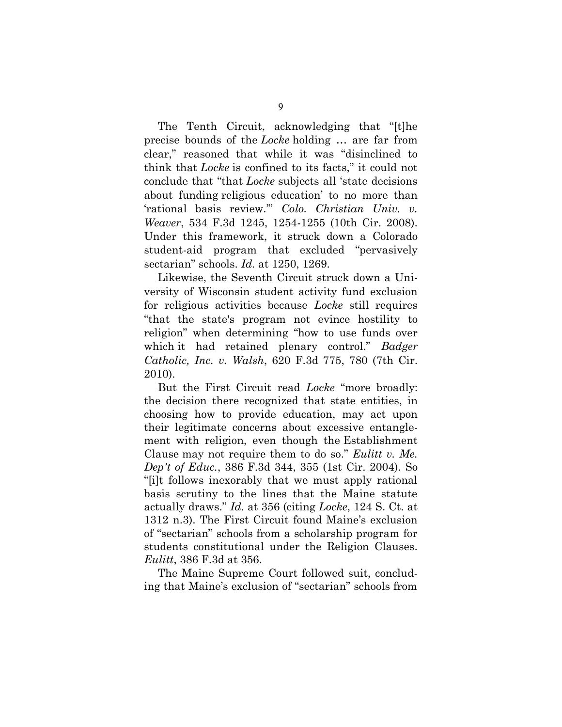The Tenth Circuit, acknowledging that "[t]he precise bounds of the *Locke* holding … are far from clear," reasoned that while it was "disinclined to think that *Locke* is confined to its facts," it could not conclude that "that *Locke* subjects all 'state decisions about funding religious education' to no more than 'rational basis review.'" *Colo. Christian Univ. v. Weaver*, 534 F.3d 1245, 1254-1255 (10th Cir. 2008). Under this framework, it struck down a Colorado student-aid program that excluded "pervasively sectarian" schools. *Id.* at 1250, 1269.

Likewise, the Seventh Circuit struck down a University of Wisconsin student activity fund exclusion for religious activities because *Locke* still requires "that the state's program not evince hostility to religion" when determining "how to use funds over which it had retained plenary control." *Badger Catholic, Inc. v. Walsh*, 620 F.3d 775, 780 (7th Cir. 2010).

But the First Circuit read *Locke* "more broadly: the decision there recognized that state entities, in choosing how to provide education, may act upon their legitimate concerns about excessive entanglement with religion, even though the Establishment Clause may not require them to do so." *Eulitt v. Me. Dep't of Educ.*, 386 F.3d 344, 355 (1st Cir. 2004). So "[i]t follows inexorably that we must apply rational basis scrutiny to the lines that the Maine statute actually draws." *Id.* at 356 (citing *Locke*, 124 S. Ct. at 1312 n.3). The First Circuit found Maine's exclusion of "sectarian" schools from a scholarship program for students constitutional under the Religion Clauses. *Eulitt*, 386 F.3d at 356.

The Maine Supreme Court followed suit, concluding that Maine's exclusion of "sectarian" schools from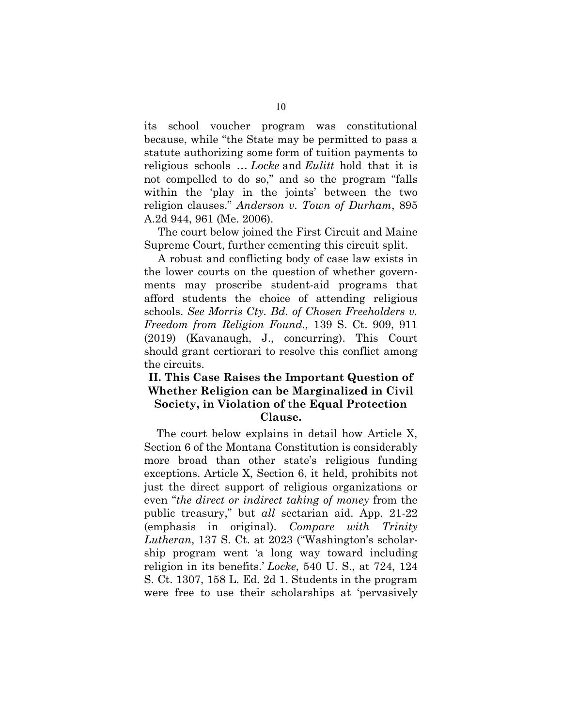its school voucher program was constitutional because, while "the State may be permitted to pass a statute authorizing some form of tuition payments to religious schools … *Locke* and *Eulitt* hold that it is not compelled to do so," and so the program "falls within the 'play in the joints' between the two religion clauses." *Anderson v. Town of Durham*, 895 A.2d 944, 961 (Me. 2006).

The court below joined the First Circuit and Maine Supreme Court, further cementing this circuit split.

A robust and conflicting body of case law exists in the lower courts on the question of whether governments may proscribe student-aid programs that afford students the choice of attending religious schools. *See Morris Cty. Bd. of Chosen Freeholders v. Freedom from Religion Found.,* 139 S. Ct. 909, 911 (2019) (Kavanaugh, J., concurring). This Court should grant certiorari to resolve this conflict among the circuits.

### <span id="page-14-0"></span>**II. This Case Raises the Important Question of Whether Religion can be Marginalized in Civil Society, in Violation of the Equal Protection Clause.**

The court below explains in detail how Article X, Section 6 of the Montana Constitution is considerably more broad than other state's religious funding exceptions. Article X, Section 6, it held, prohibits not just the direct support of religious organizations or even "*the direct or indirect taking of money* from the public treasury," but *all* sectarian aid. App. 21-22 (emphasis in original). *Compare with Trinity Lutheran*, 137 S. Ct. at 2023 ("Washington's scholarship program went 'a long way toward including religion in its benefits.' *Locke*, 540 U. S., at 724, 124 S. Ct. 1307, 158 L. Ed. 2d 1. Students in the program were free to use their scholarships at 'pervasively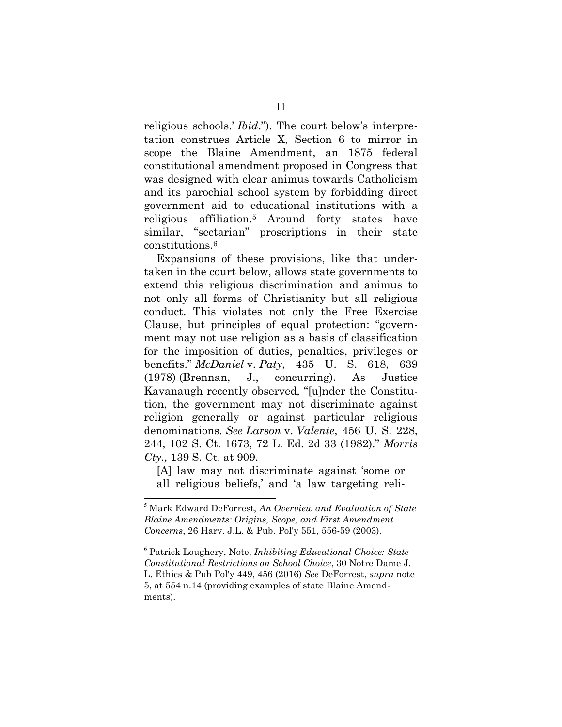religious schools.' *Ibid*."). The court below's interpretation construes Article X, Section 6 to mirror in scope the Blaine Amendment, an 1875 federal constitutional amendment proposed in Congress that was designed with clear animus towards Catholicism and its parochial school system by forbidding direct government aid to educational institutions with a religious affiliation.<sup>5</sup> Around forty states have similar, "sectarian" proscriptions in their state constitutions.<sup>6</sup>

Expansions of these provisions, like that undertaken in the court below, allows state governments to extend this religious discrimination and animus to not only all forms of Christianity but all religious conduct. This violates not only the Free Exercise Clause, but principles of equal protection: "government may not use religion as a basis of classification for the imposition of duties, penalties, privileges or benefits." *McDaniel* v. *Paty*, 435 U. S. 618, 639 (1978) (Brennan, J., concurring). As Justice Kavanaugh recently observed, "[u]nder the Constitution, the government may not discriminate against religion generally or against particular religious denominations. *See Larson* v. *Valente*, 456 U. S. 228, 244, 102 S. Ct. 1673, 72 L. Ed. 2d 33 (1982)." *Morris Cty.,* 139 S. Ct. at 909.

[A] law may not discriminate against 'some or all religious beliefs,' and 'a law targeting reli-

<sup>5</sup> Mark Edward DeForrest, *An Overview and Evaluation of State Blaine Amendments: Origins, Scope, and First Amendment Concerns*, 26 Harv. J.L. & Pub. Pol'y 551, 556-59 (2003).

<sup>6</sup> Patrick Loughery, Note, *Inhibiting Educational Choice: State Constitutional Restrictions on School Choice*, 30 Notre Dame J. L. Ethics & Pub Pol'y 449, 456 (2016) *See* DeForrest, *supra* note 5, at 554 n.14 (providing examples of state Blaine Amendments).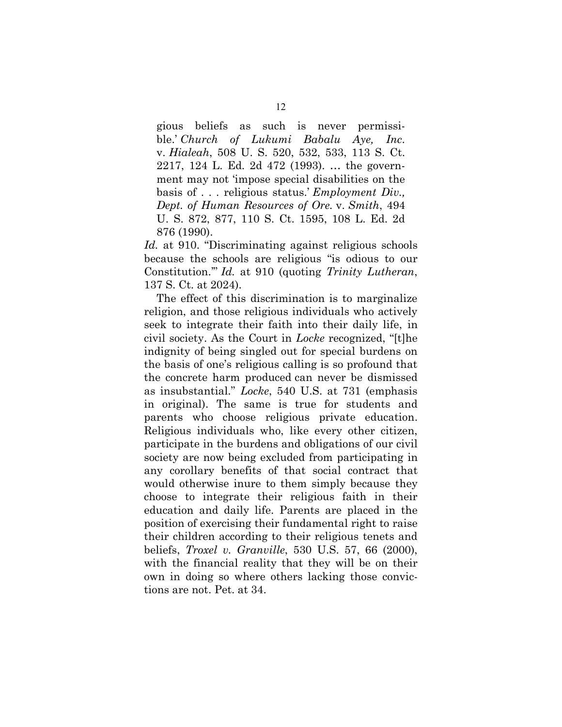gious beliefs as such is never permissible.' *Church of Lukumi Babalu Aye, Inc*. v. *Hialeah*, 508 U. S. 520, 532, 533, 113 S. Ct. 2217, 124 L. Ed. 2d 472 (1993). … the government may not 'impose special disabilities on the basis of . . . religious status.' *Employment Div., Dept. of Human Resources of Ore.* v. *Smith*, 494 U. S. 872, 877, 110 S. Ct. 1595, 108 L. Ed. 2d 876 (1990).

*Id.* at 910. "Discriminating against religious schools because the schools are religious "is odious to our Constitution.'" *Id.* at 910 (quoting *Trinity Lutheran*, 137 S. Ct. at 2024).

The effect of this discrimination is to marginalize religion, and those religious individuals who actively seek to integrate their faith into their daily life, in civil society. As the Court in *Locke* recognized, "[t]he indignity of being singled out for special burdens on the basis of one's religious calling is so profound that the concrete harm produced can never be dismissed as insubstantial." *Locke*, 540 U.S. at 731 (emphasis in original). The same is true for students and parents who choose religious private education. Religious individuals who, like every other citizen, participate in the burdens and obligations of our civil society are now being excluded from participating in any corollary benefits of that social contract that would otherwise inure to them simply because they choose to integrate their religious faith in their education and daily life. Parents are placed in the position of exercising their fundamental right to raise their children according to their religious tenets and beliefs, *Troxel v. Granville*, 530 U.S. 57, 66 (2000), with the financial reality that they will be on their own in doing so where others lacking those convictions are not. Pet. at 34.